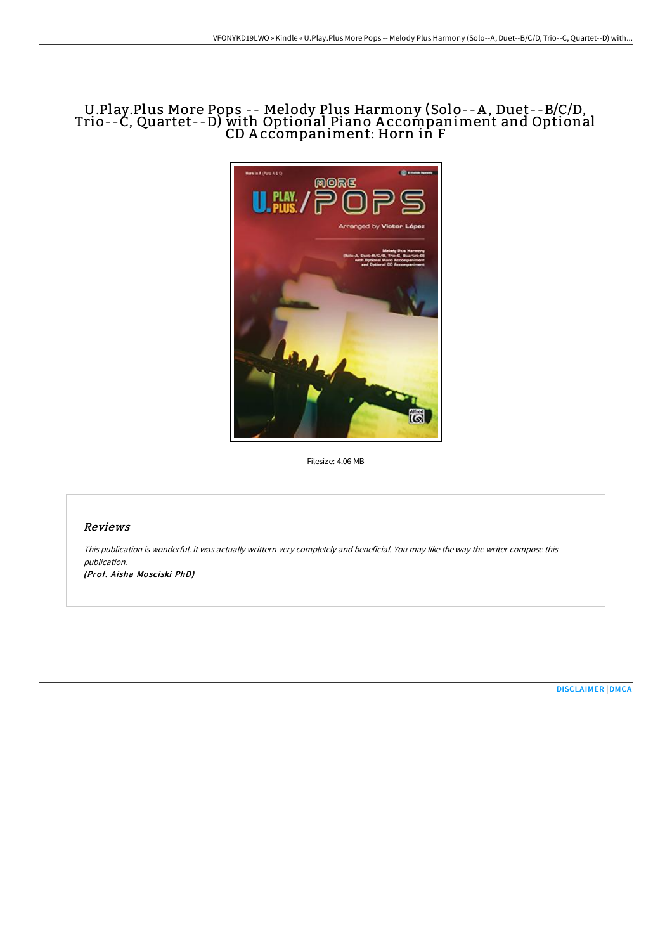# U.Play.Plus More Pops -- Melody Plus Harmony (Solo--A , Duet--B/C/D, Trio--C, Quartet--D) with Optional Piano A ccompaniment and Optional CD A ccompaniment: Horn in F



Filesize: 4.06 MB

## Reviews

This publication is wonderful. it was actually writtern very completely and beneficial. You may like the way the writer compose this publication.

(Prof. Aisha Mosciski PhD)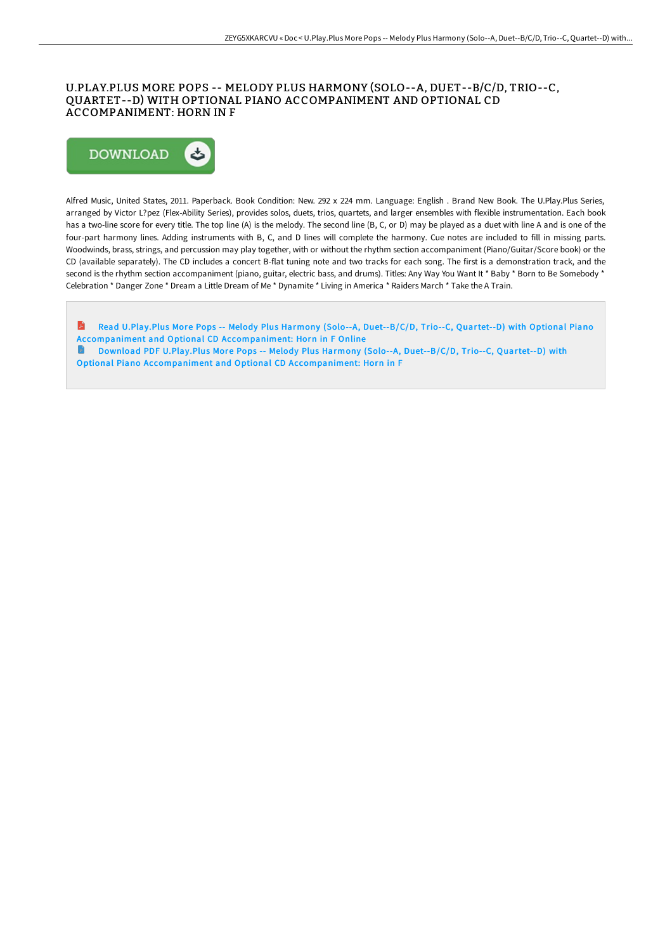## U.PLAY.PLUS MORE POPS -- MELODY PLUS HARMONY (SOLO--A, DUET--B/C/D, TRIO--C, QUARTET--D) WITH OPTIONAL PIANO ACCOMPANIMENT AND OPTIONAL CD ACCOMPANIMENT: HORN IN F



Alfred Music, United States, 2011. Paperback. Book Condition: New. 292 x 224 mm. Language: English . Brand New Book. The U.Play.Plus Series, arranged by Victor L?pez (Flex-Ability Series), provides solos, duets, trios, quartets, and larger ensembles with flexible instrumentation. Each book has a two-line score for every title. The top line (A) is the melody. The second line (B, C, or D) may be played as a duet with line A and is one of the four-part harmony lines. Adding instruments with B, C, and D lines will complete the harmony. Cue notes are included to fill in missing parts. Woodwinds, brass, strings, and percussion may play together, with or without the rhythm section accompaniment (Piano/Guitar/Score book) or the CD (available separately). The CD includes a concert B-flat tuning note and two tracks for each song. The first is a demonstration track, and the second is the rhythm section accompaniment (piano, guitar, electric bass, and drums). Titles: Any Way You Want It \* Baby \* Born to Be Somebody \* Celebration \* Danger Zone \* Dream a Little Dream of Me \* Dynamite \* Living in America \* Raiders March \* Take the A Train.

 $\blacksquare$ Read U.Play.Plus More Pops -- Melody Plus Harmony (Solo--A, Duet--B/C/D, Trio--C, Quartet--D) with Optional Piano Accompaniment and Optional CD [Accompaniment:](http://techno-pub.tech/u-play-plus-more-pops-melody-plus-harmony-solo-a-8.html) Horn in F Online Download PDF U.Play.Plus More Pops -- Melody Plus Harmony (Solo--A, Duet--B/C/D, Trio--C, Quartet--D) with  $\blacksquare$ Optional Piano Accompaniment and Optional CD [Accompaniment:](http://techno-pub.tech/u-play-plus-more-pops-melody-plus-harmony-solo-a-8.html) Horn in F